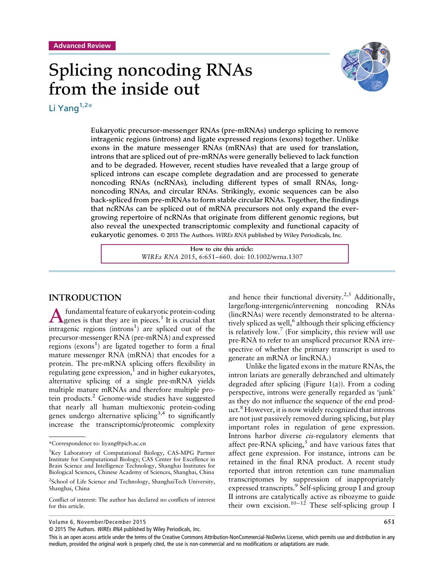# Splicing noncoding RNAs from the inside out



Li Yang<sup>1,2\*</sup>

Eukaryotic precursor-messenger RNAs (pre-mRNAs) undergo splicing to remove intragenic regions (introns) and ligate expressed regions (exons) together. Unlike exons in the mature messenger RNAs (mRNAs) that are used for translation, introns that are spliced out of pre-mRNAs were generally believed to lack function and to be degraded. However, recent studies have revealed that a large group of spliced introns can escape complete degradation and are processed to generate noncoding RNAs (ncRNAs), including different types of small RNAs, longnoncoding RNAs, and circular RNAs. Strikingly, exonic sequences can be also back-spliced from pre-mRNAs to form stable circular RNAs. Together, the findings that ncRNAs can be spliced out of mRNA precursors not only expand the evergrowing repertoire of ncRNAs that originate from different genomic regions, but also reveal the unexpected transcriptomic complexity and functional capacity of eukaryotic genomes. © 2015 The Authors. *WIREs RNA* published by Wiley Periodicals, Inc.

> **How to cite this article:** *WIREs RNA* 2015, 6:651–660. doi: 10.1002/wrna.1307

#### **INTRODUCTION**

A fundamental feature of eukaryotic protein-coding<br>genes is that they are in pieces.<sup>1</sup> It is crucial that intragenic regions  $(introns<sup>1</sup>)$  are spliced out of the precursor-messenger RNA (pre-mRNA) and expressed regions ( $exons<sup>1</sup>$ ) are ligated together to form a final mature messenger RNA (mRNA) that encodes for a protein. The pre-mRNA splicing offers flexibility in regulating gene expression, $<sup>1</sup>$  and in higher eukaryotes,</sup> alternative splicing of a single pre-mRNA yields multiple mature mRNAs and therefore multiple protein products.<sup>2</sup> Genome-wide studies have suggested that nearly all human multiexonic protein-coding genes undergo alternative splicing<sup>3,4</sup> to significantly increase the transcriptomic/proteomic complexity

and hence their functional diversity.<sup>2,5</sup> Additionally, large/long-intergenic/intervening noncoding RNAs (lincRNAs) were recently demonstrated to be alternatively spliced as well, $6$  although their splicing efficiency is relatively low.<sup>7</sup> (For simplicity, this review will use pre-RNA to refer to an unspliced precursor RNA irrespective of whether the primary transcript is used to generate an mRNA or lincRNA.)

Unlike the ligated exons in the mature RNAs, the intron lariats are generally debranched and ultimately degraded after splicing (Figure  $1(a)$ ). From a coding perspective, introns were generally regarded as 'junk' as they do not influence the sequence of the end product.<sup>8</sup> However, it is now widely recognized that introns are not just passively removed during splicing, but play important roles in regulation of gene expression. Introns harbor diverse *cis*-regulatory elements that affect pre-RNA splicing, $\frac{5}{3}$  and have various fates that affect gene expression. For instance, introns can be retained in the final RNA product. A recent study reported that intron retention can tune mammalian transcriptomes by suppression of inappropriately expressed transcripts.<sup>9</sup> Self-splicing group I and group II introns are catalytically active as ribozyme to guide their own excision.<sup>10–12</sup> These self-splicing group I

Volume 6, November/December 2015 **651**

© 2015 The Authors. WIREs RNA published by Wiley Periodicals, Inc.

This is an open access article under the terms of the [Creative Commons Attribution-NonCommercial-NoDerivs](http://creativecommons.org/licenses/by-nc-nd/4.0/) License, which permits use and distribution in any medium, provided the original work is properly cited, the use is non-commercial and no modifications or adaptations are made.

<sup>\*</sup>Correspondence to: liyang@picb.ac.cn

<sup>&</sup>lt;sup>1</sup>Key Laboratory of Computational Biology, CAS-MPG Partner Institute for Computational Biology; CAS Center for Excellence in Brain Science and Intelligence Technology, Shanghai Institutes for Biological Sciences, Chinese Academy of Sciences, Shanghai, China

<sup>&</sup>lt;sup>2</sup>School of Life Science and Technology, ShanghaiTech University, Shanghai, China

Conflict of interest: The author has declared no conflicts of interest for this article.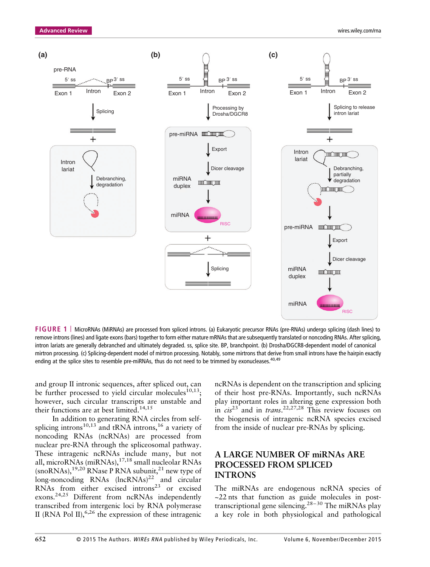

**FIGURE 1** | MicroRNAs (MiRNAs) are processed from spliced introns. (a) Eukaryotic precursor RNAs (pre-RNAs) undergo splicing (dash lines) to remove introns (lines) and ligate exons (bars) together to form either mature mRNAs that are subsequently translated or noncoding RNAs. After splicing, intron lariats are generally debranched and ultimately degraded. ss, splice site. BP, branchpoint. (b) Drosha/DGCR8-dependent model of canonical mirtron processing. (c) Splicing-dependent model of mirtron processing. Notably, some mirtrons that derive from small introns have the hairpin exactly ending at the splice sites to resemble pre-miRNAs, thus do not need to be trimmed by exonucleases.<sup>40,49</sup>

and group II intronic sequences, after spliced out, can be further processed to yield circular molecules<sup>10,13</sup>; however, such circular transcripts are unstable and their functions are at best limited.<sup>14,15</sup>

In addition to generating RNA circles from selfsplicing introns<sup>10,13</sup> and tRNA introns,<sup>16</sup> a variety of noncoding RNAs (ncRNAs) are processed from nuclear pre-RNA through the spliceosomal pathway. These intragenic ncRNAs include many, but not all, microRNAs (miRNAs),<sup>17,18</sup> small nucleolar RNAs  $(\text{snoRNAs})$ ,<sup>19,20</sup> RNase P RNA subunit,<sup>21</sup> new type of  $long-noncoding$  RNAs  $(hcRNAs)^{22}$  and circular RNAs from either excised introns $23$  or excised exons.24,25 Different from ncRNAs independently transcribed from intergenic loci by RNA polymerase II (RNA Pol II),<sup>6,26</sup> the expression of these intragenic ncRNAs is dependent on the transcription and splicing of their host pre-RNAs. Importantly, such ncRNAs play important roles in altering gene expression both in *cis*<sup>23</sup> and in *trans*. 22,27,28 This review focuses on the biogenesis of intragenic ncRNA species excised from the inside of nuclear pre-RNAs by splicing.

#### **A LARGE NUMBER OF miRNAs ARE PROCESSED FROM SPLICED INTRONS**

The miRNAs are endogenous ncRNA species of ~22 nts that function as guide molecules in posttranscriptional gene silencing.<sup>28-30</sup> The miRNAs play a key role in both physiological and pathological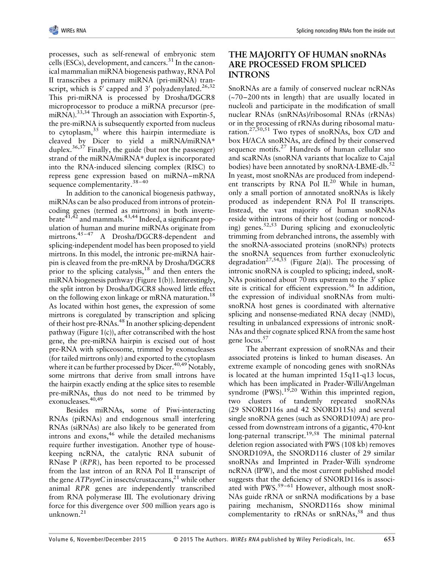processes, such as self-renewal of embryonic stem cells (ESCs), development, and cancers.<sup>31</sup> In the canonical mammalian miRNA biogenesis pathway, RNA Pol II transcribes a primary miRNA (pri-miRNA) transcript, which is 5' capped and 3' polyadenylated.<sup>26,32</sup> This pri-miRNA is processed by Drosha/DGCR8 microprocessor to produce a miRNA precursor (premiRNA).<sup>33,34</sup> Through an association with Exportin-5, the pre-miRNA is subsequently exported from nucleus to cytoplasm,<sup>35</sup> where this hairpin intermediate is cleaved by Dicer to yield a miRNA/miRNA\* duplex.<sup>36,37</sup> Finally, the guide (but not the passenger) strand of the miRNA/miRNA\* duplex is incorporated into the RNA-induced silencing complex (RISC) to repress gene expression based on miRNA–mRNA sequence complementarity.<sup>38-40</sup>

In addition to the canonical biogenesis pathway, miRNAs can be also produced from introns of proteincoding genes (termed as mirtrons) in both invertebrate<sup>41,42</sup> and mammals.<sup>43,44</sup> Indeed, a significant population of human and murine miRNAs originate from mirtrons.<sup>45-47</sup> A Drosha/DGCR8-dependent and splicing-independent model has been proposed to yield mirtrons. In this model, the intronic pre-miRNA hairpin is cleaved from the pre-mRNA by Drosha/DGCR8 prior to the splicing catalysis,  $18$  and then enters the miRNA biogenesis pathway (Figure 1(b)). Interestingly, the split intron by Drosha/DGCR8 showed little effect on the following exon linkage or mRNA maturation.<sup>18</sup> As located within host genes, the expression of some mirtrons is coregulated by transcription and splicing of their host pre-RNAs.48 In another splicing-dependent pathway (Figure 1(c)), after cotranscribed with the host gene, the pre-miRNA hairpin is excised out of host pre-RNA with spliceosome, trimmed by exonucleases (for tailed mirtrons only) and exported to the cytoplasm where it can be further processed by Dicer.<sup>40,49</sup> Notably, some mirtrons that derive from small introns have the hairpin exactly ending at the splice sites to resemble pre-miRNAs, thus do not need to be trimmed by exonucleases.<sup>40,49</sup>

Besides miRNAs, some of Piwi-interacting RNAs (piRNAs) and endogenous small interfering RNAs (siRNAs) are also likely to be generated from introns and  $exons$ ,<sup>46</sup> while the detailed mechanisms require further investigation. Another type of housekeeping ncRNA, the catalytic RNA subunit of RNase P (*RPR*), has been reported to be processed from the last intron of an RNA Pol II transcript of the gene *ATPsynC* in insects/crustaceans,<sup>21</sup> while other animal *RPR* genes are independently transcribed from RNA polymerase III. The evolutionary driving force for this divergence over 500 million years ago is unknown.<sup>21</sup>

## **THE MAJORITY OF HUMAN snoRNAs ARE PROCESSED FROM SPLICED INTRONS**

SnoRNAs are a family of conserved nuclear ncRNAs (~70–200 nts in length) that are usually located in nucleoli and participate in the modification of small nuclear RNAs (snRNAs)/ribosomal RNAs (rRNAs) or in the processing of rRNAs during ribosomal maturation.27,50,51 Two types of snoRNAs, box C/D and box H/ACA snoRNAs, are defined by their conserved sequence motifs.<sup>27</sup> Hundreds of human cellular sno and scaRNAs (snoRNA variants that localize to Cajal bodies) have been annotated by  $snoRNA-LBME-db.<sup>52</sup>$ In yeast, most snoRNAs are produced from independent transcripts by RNA Pol II.<sup>20</sup> While in human, only a small portion of annotated snoRNAs is likely produced as independent RNA Pol II transcripts. Instead, the vast majority of human snoRNAs reside within introns of their host (coding or noncoding) genes.  $52,53$  During splicing and exonucleolytic trimming from debranched introns, the assembly with the snoRNA-associated proteins (snoRNPs) protects the snoRNA sequences from further exonucleolytic degradation<sup>27,54,55</sup> (Figure 2(a)). The processing of intronic snoRNA is coupled to splicing; indeed, snoR-NAs positioned about 70 nts upstream to the  $3'$  splice site is critical for efficient expression.<sup>56</sup> In addition, the expression of individual snoRNAs from multisnoRNA host genes is coordinated with alternative splicing and nonsense-mediated RNA decay (NMD), resulting in unbalanced expressions of intronic snoR-NAs and their cognate spliced RNA from the same host gene locus.<sup>57</sup>

The aberrant expression of snoRNAs and their associated proteins is linked to human diseases. An extreme example of noncoding genes with snoRNAs is located at the human imprinted 15q11-q13 locus, which has been implicated in Prader-Willi/Angelman syndrome  $(PWS)$ .<sup>19,20</sup> Within this imprinted region, two clusters of tandemly repeated snoRNAs (29 SNORD116s and 42 SNORD115s) and several single snoRNA genes (such as SNORD109A) are processed from downstream introns of a gigantic, 470-knt long-paternal transcript.<sup>19,58</sup> The minimal paternal deletion region associated with PWS (108 kb) removes SNORD109A, the SNORD116 cluster of 29 similar snoRNAs and Imprinted in Prader-Willi syndrome ncRNA (IPW), and the most current published model suggests that the deficiency of SNORD116s is associated with PWS.<sup>59-61</sup> However, although most snoR-NAs guide rRNA or snRNA modifications by a base pairing mechanism, SNORD116s show minimal complementarity to rRNAs or snRNAs,<sup>58</sup> and thus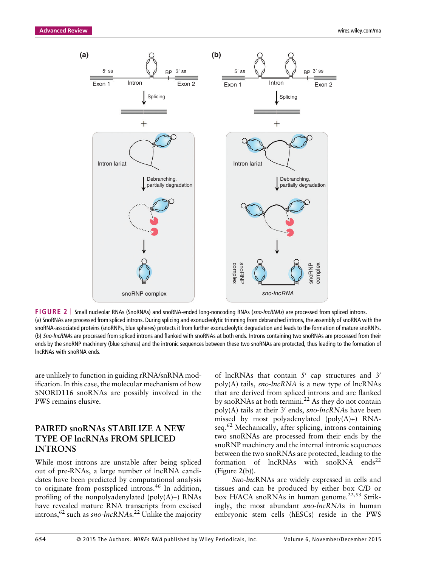

**FIGURE 2** | Small nucleolar RNAs (SnoRNAs) and snoRNA-ended long-noncoding RNAs (sno-lncRNAs) are processed from spliced introns. (a) SnoRNAs are processed from spliced introns. During splicing and exonucleolytic trimming from debranched introns, the assembly of snoRNA with the snoRNA-associated proteins (snoRNPs, blue spheres) protects it from further exonucleolytic degradation and leads to the formation of mature snoRNPs. (b) Sno-lncRNAs are processed from spliced introns and flanked with snoRNAs at both ends. Introns containing two snoRNAs are processed from their ends by the snoRNP machinery (blue spheres) and the intronic sequences between these two snoRNAs are protected, thus leading to the formation of lncRNAs with snoRNA ends.

are unlikely to function in guiding rRNA/snRNA modification. In this case, the molecular mechanism of how SNORD116 snoRNAs are possibly involved in the PWS remains elusive.

#### **PAIRED snoRNAs STABILIZE A NEW TYPE OF lncRNAs FROM SPLICED INTRONS**

While most introns are unstable after being spliced out of pre-RNAs, a large number of lncRNA candidates have been predicted by computational analysis to originate from postspliced introns.<sup>46</sup> In addition, profiling of the nonpolyadenylated (poly(A)−) RNAs have revealed mature RNA transcripts from excised introns,<sup>62</sup> such as *sno-lncRNA*s.<sup>22</sup> Unlike the majority of lncRNAs that contain  $5'$  cap structures and  $3'$ poly(A) tails, *sno-lncRNA* is a new type of lncRNAs that are derived from spliced introns and are flanked by snoRNAs at both termini.<sup>22</sup> As they do not contain poly(A) tails at their 3' ends, *sno-lncRNAs* have been missed by most polyadenylated  $(poly(A)+)$  RNAseq.<sup>62</sup> Mechanically, after splicing, introns containing two snoRNAs are processed from their ends by the snoRNP machinery and the internal intronic sequences between the two snoRNAs are protected, leading to the formation of  $lncRNAs$  with snoRNA ends<sup>22</sup> (Figure 2**(**b)).

*Sno-lnc*RNAs are widely expressed in cells and tissues and can be produced by either box C/D or box H/ACA snoRNAs in human genome.<sup>22,53</sup> Strikingly, the most abundant *sno-lncRNA*s in human embryonic stem cells (hESCs) reside in the PWS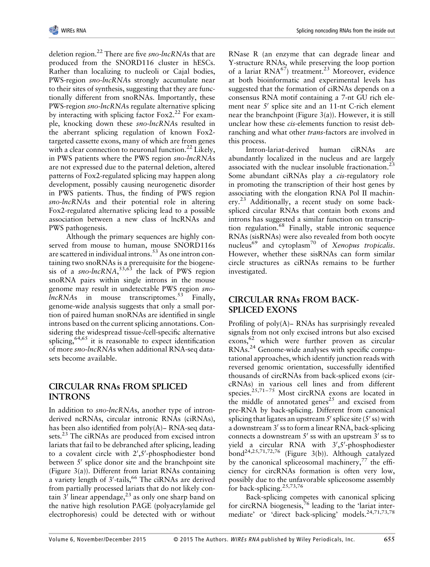deletion region.<sup>22</sup> There are five *sno-lncRNA*s that are produced from the SNORD116 cluster in hESCs. Rather than localizing to nucleoli or Cajal bodies, PWS-region *sno-lncRNA*s strongly accumulate near to their sites of synthesis, suggesting that they are functionally different from snoRNAs. Importantly, these PWS-region *sno-lncRNA*s regulate alternative splicing by interacting with splicing factor  $F\alpha x^2$ <sup>22</sup> For example, knocking down these *sno-lncRNA*s resulted in the aberrant splicing regulation of known Fox2 targeted cassette exons, many of which are from genes with a clear connection to neuronal function.<sup>22</sup> Likely, in PWS patients where the PWS region *sno-lncRNA*s are not expressed due to the paternal deletion, altered patterns of Fox2-regulated splicing may happen along development, possibly causing neurogenetic disorder in PWS patients. Thus, the finding of PWS region *sno-lncRNA*s and their potential role in altering Fox2-regulated alternative splicing lead to a possible association between a new class of lncRNAs and PWS pathogenesis.

Although the primary sequences are highly conserved from mouse to human, mouse SNORD116s are scattered in individual introns.<sup>53</sup> As one intron containing two snoRNAs is a prerequisite for the biogenesis of a *sno-lncRNA*, 53,63 the lack of PWS region snoRNA pairs within single introns in the mouse genome may result in undetectable PWS region *snolncRNAs* in mouse transcriptomes.<sup>53</sup> Finally, genome-wide analysis suggests that only a small portion of paired human snoRNAs are identified in single introns based on the current splicing annotations. Considering the widespread tissue-/cell-specific alternative splicing,  $64,65$  it is reasonable to expect identification of more *sno-lncRNA*s when additional RNA-seq datasets become available.

#### **CIRCULAR RNAs FROM SPLICED INTRONS**

In addition to *sno-lncRNA*s, another type of intronderived ncRNAs, circular intronic RNAs (ciRNAs), has been also identified from poly(A)− RNA-seq datasets.<sup>23</sup> The ciRNAs are produced from excised intron lariats that fail to be debranched after splicing, leading to a covalent circle with 2',5'-phosphodiester bond between  $5'$  splice donor site and the branchpoint site (Figure 3(a)). Different from lariat RNAs containing a variety length of 3'-tails,<sup>66</sup> The ciRNAs are derived from partially processed lariats that do not likely contain  $3'$  linear appendage,  $2^3$  as only one sharp band on the native high resolution PAGE (polyacrylamide gel electrophoresis) could be detected with or without

RNase R (an enzyme that can degrade linear and Y-structure RNAs, while preserving the loop portion of a lariat  $RNA^{67}$ ) treatment.<sup>23</sup> Moreover, evidence at both bioinformatic and experimental levels has suggested that the formation of ciRNAs depends on a consensus RNA motif containing a 7-nt GU rich element near  $5'$  splice site and an 11-nt C-rich element near the branchpoint (Figure  $3(a)$ ). However, it is still unclear how these *cis*-elements function to resist debranching and what other *trans*-factors are involved in this process.

Intron-lariat-derived human ciRNAs are abundantly localized in the nucleus and are largely associated with the nuclear insoluble fractionation.<sup>23</sup> Some abundant ciRNAs play a *cis*-regulatory role in promoting the transcription of their host genes by associating with the elongation RNA Pol II machinery.<sup>23</sup> Additionally, a recent study on some backspliced circular RNAs that contain both exons and introns has suggested a similar function on transcription regulation.<sup>68</sup> Finally, stable intronic sequence RNAs (sisRNAs) were also revealed from both oocyte nucleus<sup>69</sup> and cytoplasm70 of *Xenopus tropicalis*. However, whether these sisRNAs can form similar circle structures as ciRNAs remains to be further investigated.

#### **CIRCULAR RNAs FROM BACK-SPLICED EXONS**

Profiling of poly(A)− RNAs has surprisingly revealed signals from not only excised introns but also excised  $exons, <sup>62</sup>$  which were further proven as circular RNAs.24 Genome-wide analyses with specific computational approaches, which identify junction reads with reversed genomic orientation, successfully identified thousands of circRNAs from back-spliced exons (circRNAs) in various cell lines and from different species. $25,71-75$  Most circRNA exons are located in the middle of annotated genes<sup>25</sup> and excised from pre-RNA by back-splicing. Different from canonical splicing that ligates an upstream  $5'$  splice site ( $5'$  ss) with a downstream  $3'$  ss to form a linear RNA, back-splicing connects a downstream  $5'$  ss with an upstream  $3'$  ss to yield a circular RNA with 3',5'-phosphodiester bond<sup>24,25,71,72,76</sup> (Figure 3(b)). Although catalyzed by the canonical spliceosomal machinery,  $77$  the efficiency for circRNAs formation is often very low, possibly due to the unfavorable spliceosome assembly for back-splicing.<sup>25,73,76</sup>

Back-splicing competes with canonical splicing for circRNA biogenesis,<sup>76</sup> leading to the 'lariat intermediate' or 'direct back-splicing' models.24,71,73,78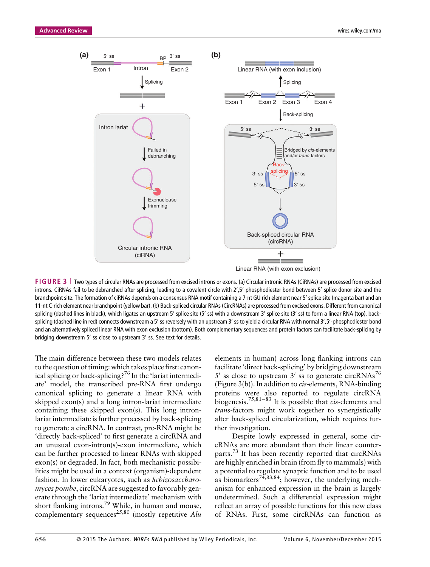

**FIGURE 3** | Two types of circular RNAs are processed from excised introns or exons. (a) Circular intronic RNAs (CiRNAs) are processed from excised introns. CiRNAs fail to be debranched after splicing, leading to a covalent circle with 2',5'-phosphodiester bond between 5' splice donor site and the branchpoint site. The formation of ciRNAs depends on a consensus RNA motif containing a 7-nt GU rich element near 5' splice site (magenta bar) and an 11-nt C-rich element near branchpoint (yellow bar). (b) Back-spliced circular RNAs (CircRNAs) are processed from excised exons. Different from canonical splicing (dashed lines in black), which ligates an upstream 5' splice site (5' ss) with a downstream 3' splice site (3' ss) to form a linear RNA (top), backsplicing (dashed line in red) connects downstream a 5′ ss reversely with an upstream 3′ ss to yield a circular RNA with normal 3′,5′-phosphodiester bond and an alternatively spliced linear RNA with exon exclusion (bottom). Both complementary sequences and protein factors can facilitate back-splicing by bridging downstream 5' ss close to upstream 3' ss. See text for details.

The main difference between these two models relates to the question of timing: which takes place first: canonical splicing or back-splicing?<sup>76</sup> In the 'lariat intermediate' model, the transcribed pre-RNA first undergo canonical splicing to generate a linear RNA with skipped exon(s) and a long intron-lariat intermediate containing these skipped exon(s). This long intronlariat intermediate is further processed by back-splicing to generate a circRNA. In contrast, pre-RNA might be 'directly back-spliced' to first generate a circRNA and an unusual exon-intron(s)-exon intermediate, which can be further processed to linear RNAs with skipped exon(s) or degraded. In fact, both mechanistic possibilities might be used in a context (organism)-dependent fashion. In lower eukaryotes, such as *Schizosaccharomyces pombe*, circRNA are suggested to favorably generate through the 'lariat intermediate' mechanism with short flanking introns.<sup>79</sup> While, in human and mouse, complementary sequences<sup>25,80</sup> (mostly repetitive Alu

elements in human) across long flanking introns can facilitate 'direct back-splicing' by bridging downstream 5' ss close to upstream 3' ss to generate circRNAs<sup>76</sup> (Figure 3(b)). In addition to *cis*-elements, RNA-binding proteins were also reported to regulate circRNA biogenesis.75,81–<sup>83</sup> It is possible that *cis*-elements and *trans*-factors might work together to synergistically alter back-spliced circularization, which requires further investigation.

Despite lowly expressed in general, some circRNAs are more abundant than their linear counterparts.<sup>73</sup> It has been recently reported that circRNAs are highly enriched in brain (from fly to mammals) with a potential to regulate synaptic function and to be used as biomarkers<sup>74,83,84</sup>; however, the underlying mechanism for enhanced expression in the brain is largely undetermined. Such a differential expression might reflect an array of possible functions for this new class of RNAs. First, some circRNAs can function as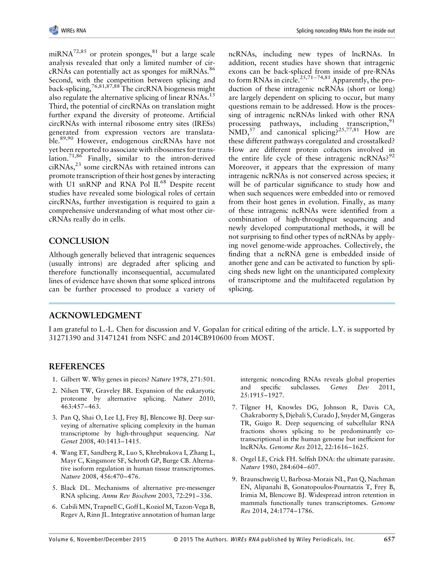miRNA<sup>72,85</sup> or protein sponges,  $81$  but a large scale analysis revealed that only a limited number of cir $cRNAs$  can potentially act as sponges for miRNAs.<sup>86</sup> Second, with the competition between splicing and back-splicing,76,81,87,88 The circRNA biogenesis might also regulate the alternative splicing of linear RNAs.<sup>15</sup> Third, the potential of circRNAs on translation might further expand the diversity of proteome. Artificial circRNAs with internal ribosome entry sites (IRESs) generated from expression vectors are translatable.89,90 However, endogenous circRNAs have not yet been reported to associate with ribosomes for translation.<sup>71,86</sup> Finally, similar to the intron-derived  $ciRNAs<sub>1</sub><sup>23</sup>$  some circRNAs with retained introns can promote transcription of their host genes by interacting with U1 snRNP and RNA Pol II.<sup>68</sup> Despite recent studies have revealed some biological roles of certain circRNAs, further investigation is required to gain a comprehensive understanding of what most other circRNAs really do in cells.

## **CONCLUSION**

Although generally believed that intragenic sequences (usually introns) are degraded after splicing and therefore functionally inconsequential, accumulated lines of evidence have shown that some spliced introns can be further processed to produce a variety of ncRNAs, including new types of lncRNAs. In addition, recent studies have shown that intragenic exons can be back-spliced from inside of pre-RNAs to form RNAs in circle.<sup>25,71-74,81</sup> Apparently, the production of these intragenic ncRNAs (short or long) are largely dependent on splicing to occur, but many questions remain to be addressed. How is the processing of intragenic ncRNAs linked with other RNA processing pathways, including transcription,<sup>91</sup> NMD,<sup>57</sup> and canonical splicing?<sup>25,77,81</sup> How are these different pathways coregulated and crosstalked? How are different protein cofactors involved in the entire life cycle of these intragenic ncRNAs? $92$ Moreover, it appears that the expression of many intragenic ncRNAs is not conserved across species; it will be of particular significance to study how and when such sequences were embedded into or removed from their host genes in evolution. Finally, as many of these intragenic ncRNAs were identified from a combination of high-throughput sequencing and newly developed computational methods, it will be not surprising to find other types of ncRNAs by applying novel genome-wide approaches. Collectively, the finding that a ncRNA gene is embedded inside of another gene and can be activated to function by splicing sheds new light on the unanticipated complexity of transcriptome and the multifaceted regulation by splicing.

## **ACKNOWLEDGMENT**

I am grateful to L.-L. Chen for discussion and V. Gopalan for critical editing of the article. L.Y. is supported by 31271390 and 31471241 from NSFC and 2014CB910600 from MOST.

## **REFERENCES**

- 1. Gilbert W. Why genes in pieces? *Nature* 1978, 271:501.
- 2. Nilsen TW, Graveley BR. Expansion of the eukaryotic proteome by alternative splicing. *Nature* 2010, 463:457–463.
- 3. Pan Q, Shai O, Lee LJ, Frey BJ, Blencowe BJ. Deep surveying of alternative splicing complexity in the human transcriptome by high-throughput sequencing. *Nat Genet* 2008, 40:1413–1415.
- 4. Wang ET, Sandberg R, Luo S, Khrebtukova I, Zhang L, Mayr C, Kingsmore SF, Schroth GP, Burge CB. Alternative isoform regulation in human tissue transcriptomes. *Nature* 2008, 456:470–476.
- 5. Black DL. Mechanisms of alternative pre-messenger RNA splicing. *Annu Rev Biochem* 2003, 72:291–336.
- 6. CabiliMN, Trapnell C, Goff L, KoziolM, Tazon-Vega B, Regev A, Rinn JL. Integrative annotation of human large

intergenic noncoding RNAs reveals global properties and specific subclasses. *Genes Dev* 2011, 25:1915–1927.

- 7. Tilgner H, Knowles DG, Johnson R, Davis CA, Chakrabortty S, Djebali S, Curado J, Snyder M, Gingeras TR, Guigo R. Deep sequencing of subcellular RNA fractions shows splicing to be predominantly cotranscriptional in the human genome but inefficient for lncRNAs. *Genome Res* 2012, 22:1616–1625.
- 8. Orgel LE, Crick FH. Selfish DNA: the ultimate parasite. *Nature* 1980, 284:604–607.
- 9. Braunschweig U, Barbosa-Morais NL, Pan Q, Nachman EN, Alipanahi B, Gonatopoulos-Pournatzis T, Frey B, Irimia M, Blencowe BJ. Widespread intron retention in mammals functionally tunes transcriptomes. *Genome Res* 2014, 24:1774–1786.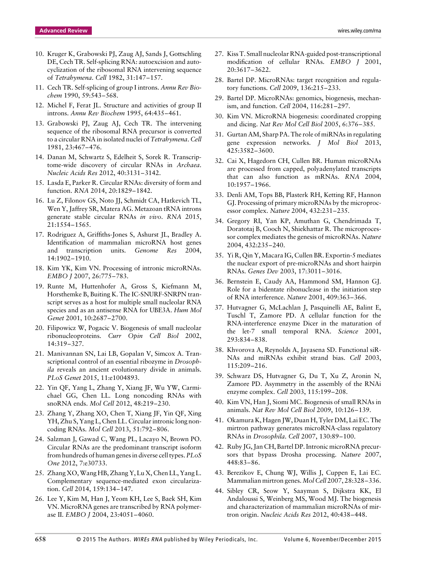- 10. Kruger K, Grabowski PJ, Zaug AJ, Sands J, Gottschling DE, Cech TR. Self-splicing RNA: autoexcision and autocyclization of the ribosomal RNA intervening sequence of *Tetrahymena*. *Cell* 1982, 31:147–157.
- 11. Cech TR. Self-splicing of group I introns. *Annu Rev Biochem* 1990, 59:543–568.
- 12. Michel F, Ferat JL. Structure and activities of group II introns. *Annu Rev Biochem* 1995, 64:435–461.
- 13. Grabowski PJ, Zaug AJ, Cech TR. The intervening sequence of the ribosomal RNA precursor is converted to a circular RNA in isolated nuclei of *Tetrahymena*. *Cell* 1981, 23:467–476.
- 14. Danan M, Schwartz S, Edelheit S, Sorek R. Transcriptome-wide discovery of circular RNAs in *Archaea*. *Nucleic Acids Res* 2012, 40:3131–3142.
- 15. Lasda E, Parker R. Circular RNAs: diversity of form and function. *RNA* 2014, 20:1829–1842.
- 16. Lu Z, Filonov GS, Noto JJ, Schmidt CA, Hatkevich TL, Wen Y, Jaffrey SR, Matera AG. Metazoan tRNA introns generate stable circular RNAs *in vivo*. *RNA* 2015, 21:1554–1565.
- 17. Rodriguez A, Griffiths-Jones S, Ashurst JL, Bradley A. Identification of mammalian microRNA host genes and transcription units. *Genome Res* 2004, 14:1902–1910.
- 18. Kim YK, Kim VN. Processing of intronic microRNAs. *EMBO J* 2007, 26:775–783.
- 19. Runte M, Huttenhofer A, Gross S, Kiefmann M, Horsthemke B, Buiting K. The IC-SNURF-SNRPN transcript serves as a host for multiple small nucleolar RNA species and as an antisense RNA for UBE3A. *Hum Mol Genet* 2001, 10:2687–2700.
- 20. Filipowicz W, Pogacic V. Biogenesis of small nucleolar ribonucleoproteins. *Curr Opin Cell Biol* 2002, 14:319–327.
- 21. Manivannan SN, Lai LB, Gopalan V, Simcox A. Transcriptional control of an essential ribozyme in *Drosophila* reveals an ancient evolutionary divide in animals. *PLoS Genet* 2015, 11:e1004893.
- 22. Yin QF, Yang L, Zhang Y, Xiang JF, Wu YW, Carmichael GG, Chen LL. Long noncoding RNAs with snoRNA ends. *Mol Cell* 2012, 48:219–230.
- 23. Zhang Y, Zhang XO, Chen T, Xiang JF, Yin QF, Xing YH, Zhu S, Yang L, Chen LL. Circular intronic long noncoding RNAs. *Mol Cell* 2013, 51:792–806.
- 24. Salzman J, Gawad C, Wang PL, Lacayo N, Brown PO. Circular RNAs are the predominant transcript isoform from hundreds of human genes in diverse cell types. *PLoS One* 2012, 7:e30733.
- 25. Zhang XO,Wang HB, Zhang Y, Lu X, Chen LL, Yang L. Complementary sequence-mediated exon circularization. *Cell* 2014, 159:134–147.
- 26. Lee Y, Kim M, Han J, Yeom KH, Lee S, Baek SH, Kim VN. MicroRNA genes are transcribed by RNA polymerase II. *EMBO J* 2004, 23:4051–4060.
- 27. Kiss T. Small nucleolar RNA-guided post-transcriptional modification of cellular RNAs. *EMBO J* 2001, 20:3617–3622.
- 28. Bartel DP. MicroRNAs: target recognition and regulatory functions. *Cell* 2009, 136:215–233.
- 29. Bartel DP. MicroRNAs: genomics, biogenesis, mechanism, and function. *Cell* 2004, 116:281–297.
- 30. Kim VN. MicroRNA biogenesis: coordinated cropping and dicing. *Nat Rev Mol Cell Biol* 2005, 6:376–385.
- 31. Gurtan AM, Sharp PA. The role of miRNAs in regulating gene expression networks. *J Mol Biol* 2013, 425:3582–3600.
- 32. Cai X, Hagedorn CH, Cullen BR. Human microRNAs are processed from capped, polyadenylated transcripts that can also function as mRNAs. *RNA* 2004, 10:1957–1966.
- 33. Denli AM, Tops BB, Plasterk RH, Ketting RF, Hannon GJ. Processing of primary microRNAs by the microprocessor complex. *Nature* 2004, 432:231–235.
- 34. Gregory RI, Yan KP, Amuthan G, Chendrimada T, Doratotaj B, Cooch N, Shiekhattar R. The microprocessor complex mediates the genesis of microRNAs. *Nature* 2004, 432:235–240.
- 35. Yi R, Qin Y, Macara IG, Cullen BR. Exportin-5 mediates the nuclear export of pre-microRNAs and short hairpin RNAs. *Genes Dev* 2003, 17:3011–3016.
- 36. Bernstein E, Caudy AA, Hammond SM, Hannon GJ. Role for a bidentate ribonuclease in the initiation step of RNA interference. *Nature* 2001, 409:363–366.
- 37. Hutvagner G, McLachlan J, Pasquinelli AE, Balint E, Tuschl T, Zamore PD. A cellular function for the RNA-interference enzyme Dicer in the maturation of the let-7 small temporal RNA. *Science* 2001, 293:834–838.
- 38. Khvorova A, Reynolds A, Jayasena SD. Functional siR-NAs and miRNAs exhibit strand bias. *Cell* 2003, 115:209–216.
- 39. Schwarz DS, Hutvagner G, Du T, Xu Z, Aronin N, Zamore PD. Asymmetry in the assembly of the RNAi enzyme complex. *Cell* 2003, 115:199–208.
- 40. Kim VN, Han J, Siomi MC. Biogenesis of small RNAs in animals. *Nat Rev Mol Cell Biol* 2009, 10:126–139.
- 41. Okamura K, Hagen JW, Duan H, Tyler DM, Lai EC. The mirtron pathway generates microRNA-class regulatory RNAs in *Drosophila*. *Cell* 2007, 130:89–100.
- 42. Ruby JG, Jan CH, Bartel DP. Intronic microRNA precursors that bypass Drosha processing. *Nature* 2007, 448:83–86.
- 43. Berezikov E, Chung WJ, Willis J, Cuppen E, Lai EC. Mammalian mirtron genes. *Mol Cell* 2007, 28:328–336.
- 44. Sibley CR, Seow Y, Saayman S, Dijkstra KK, El Andaloussi S, Weinberg MS, Wood MJ. The biogenesis and characterization of mammalian microRNAs of mirtron origin. *Nucleic Acids Res* 2012, 40:438–448.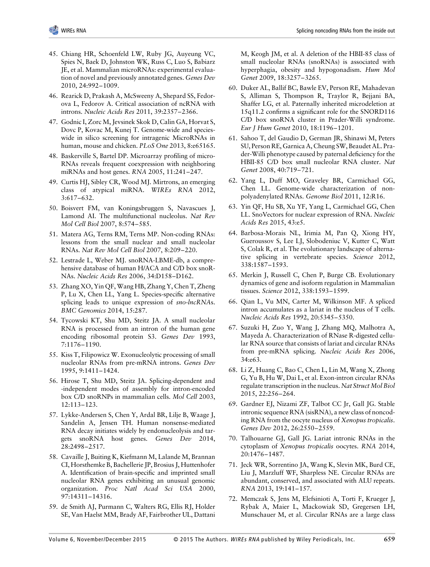- 45. Chiang HR, Schoenfeld LW, Ruby JG, Auyeung VC, Spies N, Baek D, Johnston WK, Russ C, Luo S, Babiarz JE, et al. Mammalian microRNAs: experimental evaluation of novel and previously annotated genes. *Genes Dev* 2010, 24:992–1009.
- 46. Rearick D, Prakash A, McSweeny A, Shepard SS, Fedorova L, Fedorov A. Critical association of ncRNA with introns. *Nucleic Acids Res* 2011, 39:2357–2366.
- 47. Godnic I, Zorc M, Jevsinek Skok D, Calin GA, Horvat S, Dovc P, Kovac M, Kunej T. Genome-wide and specieswide in silico screening for intragenic MicroRNAs in human, mouse and chicken. *PLoS One* 2013, 8:e65165.
- 48. Baskerville S, Bartel DP. Microarray profiling of micro-RNAs reveals frequent coexpression with neighboring miRNAs and host genes. *RNA* 2005, 11:241–247.
- 49. Curtis HJ, Sibley CR, Wood MJ. Mirtrons, an emerging class of atypical miRNA. *WIREs RNA* 2012, 3:617–632.
- 50. Boisvert FM, van Koningsbruggen S, Navascues J, Lamond AI. The multifunctional nucleolus. *Nat Rev Mol Cell Biol* 2007, 8:574–585.
- 51. Matera AG, Terns RM, Terns MP. Non-coding RNAs: lessons from the small nuclear and small nucleolar RNAs. *Nat Rev Mol Cell Biol* 2007, 8:209–220.
- 52. Lestrade L, Weber MJ. snoRNA-LBME-db, a comprehensive database of human H/ACA and C/D box snoR-NAs. *Nucleic Acids Res* 2006, 34:D158–D162.
- 53. Zhang XO, Yin QF, Wang HB, Zhang Y, Chen T, Zheng P, Lu X, Chen LL, Yang L. Species-specific alternative splicing leads to unique expression of *sno-lncRNA*s. *BMC Genomics* 2014, 15:287.
- 54. Tycowski KT, Shu MD, Steitz JA. A small nucleolar RNA is processed from an intron of the human gene encoding ribosomal protein S3. *Genes Dev* 1993, 7:1176–1190.
- 55. Kiss T, Filipowicz W. Exonucleolytic processing of small nucleolar RNAs from pre-mRNA introns. *Genes Dev* 1995, 9:1411–1424.
- 56. Hirose T, Shu MD, Steitz JA. Splicing-dependent and -independent modes of assembly for intron-encoded box C/D snoRNPs in mammalian cells. *Mol Cell* 2003, 12:113–123.
- 57. Lykke-Andersen S, Chen Y, Ardal BR, Lilje B, Waage J, Sandelin A, Jensen TH. Human nonsense-mediated RNA decay initiates widely by endonucleolysis and targets snoRNA host genes. *Genes Dev* 2014, 28:2498–2517.
- 58. Cavaille J, Buiting K, Kiefmann M, Lalande M, Brannan CI, Horsthemke B, Bachellerie JP, Brosius J, Huttenhofer A. Identification of brain-specific and imprinted small nucleolar RNA genes exhibiting an unusual genomic organization. *Proc Natl Acad Sci USA* 2000, 97:14311–14316.
- 59. de Smith AJ, Purmann C, Walters RG, Ellis RJ, Holder SE, Van Haelst MM, Brady AF, Fairbrother UL, Dattani

M, Keogh JM, et al. A deletion of the HBII-85 class of small nucleolar RNAs (snoRNAs) is associated with hyperphagia, obesity and hypogonadism. *Hum Mol Genet* 2009, 18:3257–3265.

- 60. Duker AL, Ballif BC, Bawle EV, Person RE, Mahadevan S, Alliman S, Thompson R, Traylor R, Bejjani BA, Shaffer LG, et al. Paternally inherited microdeletion at 15q11.2 confirms a significant role for the SNORD116 C/D box snoRNA cluster in Prader-Willi syndrome. *Eur J Hum Genet* 2010, 18:1196–1201.
- 61. Sahoo T, del Gaudio D, German JR, Shinawi M, Peters SU, Person RE, Garnica A, Cheung SW, Beaudet AL. Prader-Willi phenotype caused by paternal deficiency for the HBII-85 C/D box small nucleolar RNA cluster. *Nat Genet* 2008, 40:719–721.
- 62. Yang L, Duff MO, Graveley BR, Carmichael GG, Chen LL. Genome-wide characterization of nonpolyadenylated RNAs. *Genome Biol* 2011, 12:R16.
- 63. Yin QF, Hu SB, Xu YF, Yang L, Carmichael GG, Chen LL. SnoVectors for nuclear expression of RNA. *Nucleic Acids Res* 2015, 43:e5.
- 64. Barbosa-Morais NL, Irimia M, Pan Q, Xiong HY, Gueroussov S, Lee LJ, Slobodeniuc V, Kutter C, Watt S, Colak R, et al. The evolutionary landscape of alternative splicing in vertebrate species. *Science* 2012, 338:1587–1593.
- 65. Merkin J, Russell C, Chen P, Burge CB. Evolutionary dynamics of gene and isoform regulation in Mammalian tissues. *Science* 2012, 338:1593–1599.
- 66. Qian L, Vu MN, Carter M, Wilkinson MF. A spliced intron accumulates as a lariat in the nucleus of T cells. *Nucleic Acids Res* 1992, 20:5345–5350.
- 67. Suzuki H, Zuo Y, Wang J, Zhang MQ, Malhotra A, Mayeda A. Characterization of RNase R-digested cellular RNA source that consists of lariat and circular RNAs from pre-mRNA splicing. *Nucleic Acids Res* 2006, 34:e63.
- 68. Li Z, Huang C, Bao C, Chen L, Lin M, Wang X, Zhong G, Yu B, Hu W, Dai L, et al. Exon-intron circular RNAs regulate transcription in the nucleus. *Nat Struct Mol Biol* 2015, 22:256–264.
- 69. Gardner EJ, Nizami ZF, Talbot CC Jr, Gall JG. Stable intronic sequence RNA (sisRNA), a new class of noncoding RNA from the oocyte nucleus of *Xenopus tropicalis*. *Genes Dev* 2012, 26:2550–2559.
- 70. Talhouarne GJ, Gall JG. Lariat intronic RNAs in the cytoplasm of *Xenopus tropicalis* oocytes. *RNA* 2014, 20:1476–1487.
- 71. Jeck WR, Sorrentino JA, Wang K, Slevin MK, Burd CE, Liu J, Marzluff WF, Sharpless NE. Circular RNAs are abundant, conserved, and associated with ALU repeats. *RNA* 2013, 19:141–157.
- 72. Memczak S, Jens M, Elefsinioti A, Torti F, Krueger J, Rybak A, Maier L, Mackowiak SD, Gregersen LH, Munschauer M, et al. Circular RNAs are a large class